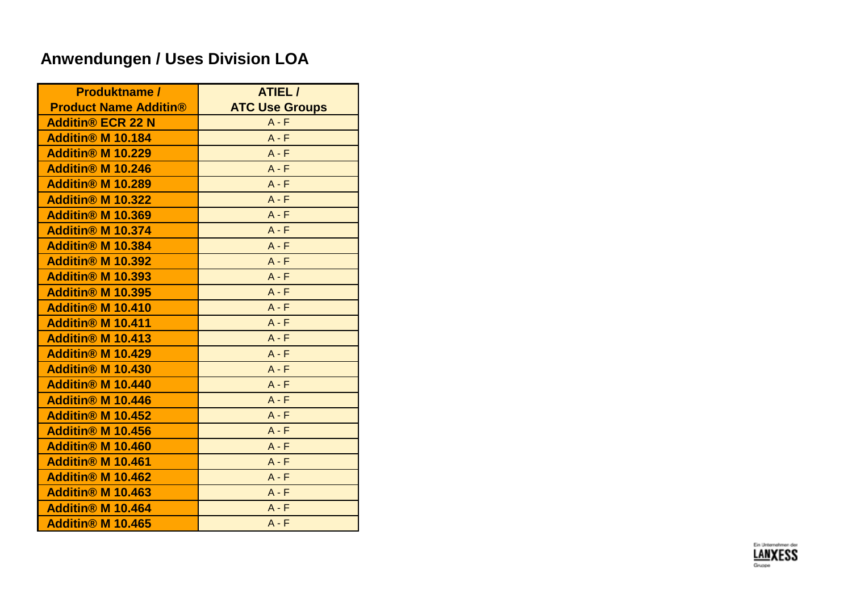| <b>Produktname /</b>                | ATIEL /               |
|-------------------------------------|-----------------------|
| <b>Product Name Additin®</b>        | <b>ATC Use Groups</b> |
| <b>Additin® ECR 22 N</b>            | $A - F$               |
| <b>Additin<sup>®</sup> M 10.184</b> | $A - F$               |
| <b>Additin® M 10.229</b>            | $A - F$               |
| <b>Additin® M 10.246</b>            | $A - F$               |
| <b>Additin® M 10.289</b>            | $A - F$               |
| <b>Additin® M 10.322</b>            | $A - F$               |
| <b>Additin® M 10.369</b>            | $A - F$               |
| <b>Additin® M 10.374</b>            | $A - F$               |
| <b>Additin® M 10.384</b>            | $A - F$               |
| <b>Additin® M 10.392</b>            | $A - F$               |
| <b>Additin® M 10.393</b>            | $A - F$               |
| <b>Additin® M 10.395</b>            | $A - F$               |
| <b>Additin® M 10.410</b>            | $A - F$               |
| <b>Additin® M 10.411</b>            | $A - F$               |
| <b>Additin® M 10.413</b>            | $A - F$               |
| <b>Additin® M 10.429</b>            | $A - F$               |
| <b>Additin® M 10.430</b>            | $A - F$               |
| <b>Additin® M 10.440</b>            | $A - F$               |
| <b>Additin® M 10.446</b>            | $A - F$               |
| <b>Additin® M 10.452</b>            | $A - F$               |
| <b>Additin® M 10.456</b>            | $A - F$               |
| <b>Additin® M 10.460</b>            | $A - F$               |
| <b>Additin® M 10.461</b>            | $A - F$               |
| <b>Additin® M 10.462</b>            | $A - F$               |
| <b>Additin® M 10.463</b>            | $A - F$               |
| <b>Additin® M 10.464</b>            | $A - F$               |
| <b>Additin® M 10.465</b>            | $A - F$               |

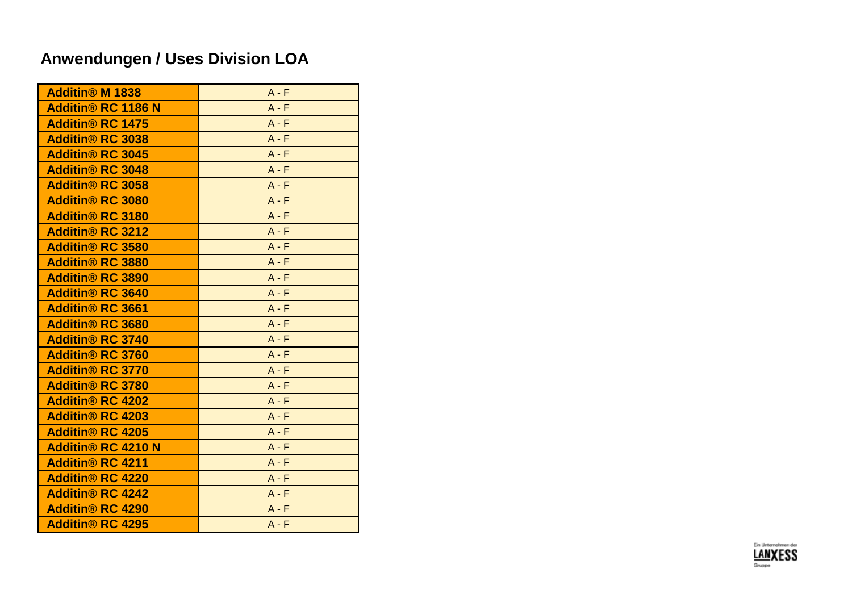| <b>Additin® M 1838</b>             | $A - F$ |
|------------------------------------|---------|
| <b>Additin® RC 1186 N</b>          | $A - F$ |
| <b>Additin<sup>®</sup> RC 1475</b> | $A - F$ |
| <b>Additin® RC 3038</b>            | $A - F$ |
| <b>Additin® RC 3045</b>            | $A - F$ |
| <b>Additin® RC 3048</b>            | $A - F$ |
| <b>Additin® RC 3058</b>            | $A - F$ |
| <b>Additin® RC 3080</b>            | $A - F$ |
| <b>Additin® RC 3180</b>            | $A - F$ |
| <b>Additin® RC 3212</b>            | $A - F$ |
| <b>Additin® RC 3580</b>            | $A - F$ |
| <b>Additin® RC 3880</b>            | $A - F$ |
| <b>Additin® RC 3890</b>            | $A - F$ |
| <b>Additin® RC 3640</b>            | $A - F$ |
| <b>Additin® RC 3661</b>            | $A - F$ |
| <b>Additin® RC 3680</b>            | $A - F$ |
| <b>Additin® RC 3740</b>            | $A - F$ |
| <b>Additin® RC 3760</b>            | $A - F$ |
| <b>Additin® RC 3770</b>            | $A - F$ |
| <b>Additin® RC 3780</b>            | $A - F$ |
| <b>Additin® RC 4202</b>            | $A - F$ |
| <b>Additin® RC 4203</b>            | $A - F$ |
| <b>Additin® RC 4205</b>            | $A - F$ |
| <b>Additin® RC 4210 N</b>          | $A - F$ |
| <b>Additin® RC 4211</b>            | $A - F$ |
| <b>Additin® RC 4220</b>            | $A - F$ |
| <b>Additin® RC 4242</b>            | $A - F$ |
| <b>Additin® RC 4290</b>            | $A - F$ |
| <b>Additin® RC 4295</b>            | $A - F$ |
|                                    |         |

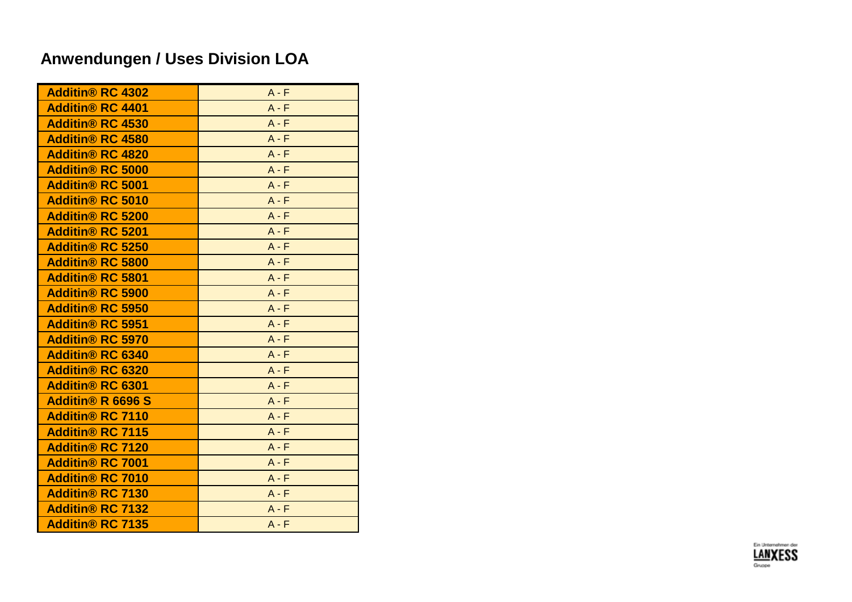| <b>Additin® RC 4302</b>            | $A - F$ |
|------------------------------------|---------|
| <b>Additin® RC 4401</b>            | $A - F$ |
| <b>Additin<sup>®</sup> RC 4530</b> | $A - F$ |
| <b>Additin® RC 4580</b>            | $A - F$ |
| <b>Additin® RC 4820</b>            | $A - F$ |
| <b>Additin® RC 5000</b>            | $A - F$ |
| <b>Additin® RC 5001</b>            | $A - F$ |
| <b>Additin® RC 5010</b>            | $A - F$ |
| <b>Additin® RC 5200</b>            | $A - F$ |
| <b>Additin® RC 5201</b>            | $A - F$ |
| <b>Additin® RC 5250</b>            | $A - F$ |
| <b>Additin® RC 5800</b>            | $A - F$ |
| <b>Additin® RC 5801</b>            | $A - F$ |
| <b>Additin® RC 5900</b>            | $A - F$ |
| <b>Additin® RC 5950</b>            | $A - F$ |
| <b>Additin® RC 5951</b>            | $A - F$ |
| <b>Additin® RC 5970</b>            | $A - F$ |
| <b>Additin® RC 6340</b>            | $A - F$ |
| <b>Additin® RC 6320</b>            | $A - F$ |
| <b>Additin® RC 6301</b>            | $A - F$ |
| <b>Additin® R 6696 S</b>           | $A - F$ |
| <b>Additin® RC 7110</b>            | $A - F$ |
| <b>Additin® RC 7115</b>            | $A - F$ |
| <b>Additin® RC 7120</b>            | $A - F$ |
| <b>Additin® RC 7001</b>            | $A - F$ |
| <b>Additin® RC 7010</b>            | $A - F$ |
| <b>Additin® RC 7130</b>            | $A - F$ |
| <b>Additin® RC 7132</b>            | $A - F$ |
| <b>Additin® RC 7135</b>            | $A - F$ |
|                                    |         |

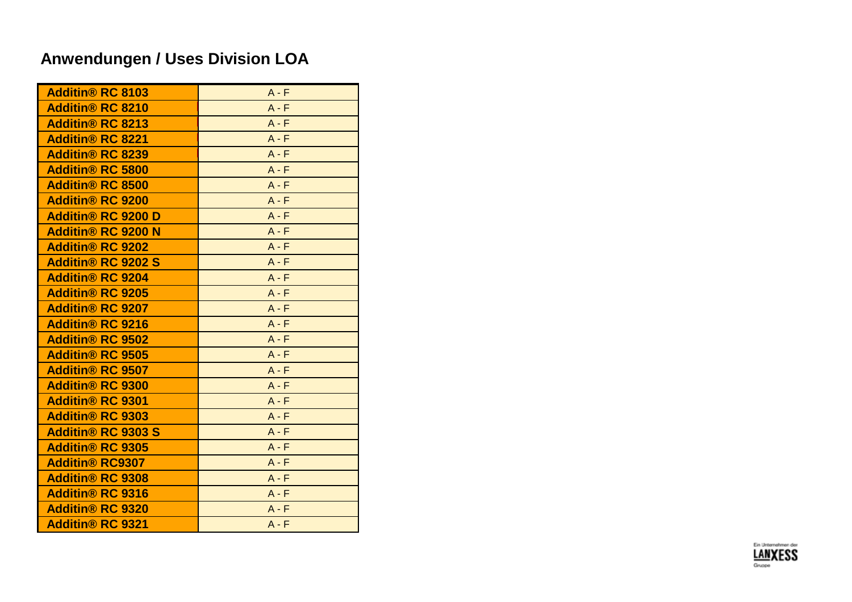| <b>Additin® RC 8103</b>            | $A - F$ |
|------------------------------------|---------|
| <b>Additin® RC 8210</b>            | $A - F$ |
| <b>Additin<sup>®</sup> RC 8213</b> | $A - F$ |
| <b>Additin® RC 8221</b>            | $A - F$ |
| <b>Additin® RC 8239</b>            | $A - F$ |
| <b>Additin® RC 5800</b>            | $A - F$ |
| <b>Additin® RC 8500</b>            | $A - F$ |
| <b>Additin® RC 9200</b>            | $A - F$ |
| <b>Additin® RC 9200 D</b>          | $A - F$ |
| <b>Additin® RC 9200 N</b>          | $A - F$ |
| <b>Additin® RC 9202</b>            | $A - F$ |
| <b>Additin® RC 9202 S</b>          | $A - F$ |
| <b>Additin® RC 9204</b>            | $A - F$ |
| <b>Additin® RC 9205</b>            | $A - F$ |
| <b>Additin® RC 9207</b>            | $A - F$ |
| <b>Additin® RC 9216</b>            | $A - F$ |
| <b>Additin® RC 9502</b>            | $A - F$ |
| <b>Additin® RC 9505</b>            | $A - F$ |
| <b>Additin® RC 9507</b>            | $A - F$ |
| <b>Additin® RC 9300</b>            | $A - F$ |
| <b>Additin® RC 9301</b>            | $A - F$ |
| <b>Additin® RC 9303</b>            | $A - F$ |
| <b>Additin® RC 9303 S</b>          | $A - F$ |
| <b>Additin® RC 9305</b>            | $A - F$ |
| <b>Additin® RC9307</b>             | $A - F$ |
| <b>Additin® RC 9308</b>            | $A - F$ |
| <b>Additin® RC 9316</b>            | $A - F$ |
| <b>Additin® RC 9320</b>            | $A - F$ |
| <b>Additin® RC 9321</b>            | $A - F$ |
|                                    |         |